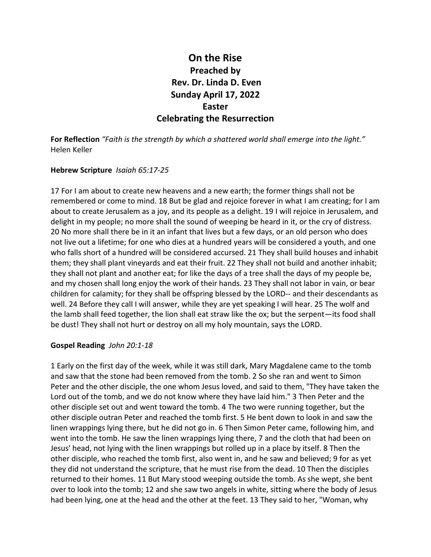# **On the Rise Preached by Rev. Dr. Linda D. Even Sunday April 17, 2022 Easter Celebrating the Resurrection**

**For Reflection** *"Faith is the strength by which a shattered world shall emerge into the light."* Helen Keller

## **Hebrew Scripture** *Isaiah 65:17-25*

17 For I am about to create new heavens and a new earth; the former things shall not be remembered or come to mind. 18 But be glad and rejoice forever in what I am creating; for I am about to create Jerusalem as a joy, and its people as a delight. 19 I will rejoice in Jerusalem, and delight in my people; no more shall the sound of weeping be heard in it, or the cry of distress. 20 No more shall there be in it an infant that lives but a few days, or an old person who does not live out a lifetime; for one who dies at a hundred years will be considered a youth, and one who falls short of a hundred will be considered accursed. 21 They shall build houses and inhabit them; they shall plant vineyards and eat their fruit. 22 They shall not build and another inhabit; they shall not plant and another eat; for like the days of a tree shall the days of my people be, and my chosen shall long enjoy the work of their hands. 23 They shall not labor in vain, or bear children for calamity; for they shall be offspring blessed by the LORD-- and their descendants as well. 24 Before they call I will answer, while they are yet speaking I will hear. 25 The wolf and the lamb shall feed together, the lion shall eat straw like the ox; but the serpent—its food shall be dust! They shall not hurt or destroy on all my holy mountain, says the LORD.

## **Gospel Reading** *John 20:1-18*

1 Early on the first day of the week, while it was still dark, Mary Magdalene came to the tomb and saw that the stone had been removed from the tomb. 2 So she ran and went to Simon Peter and the other disciple, the one whom Jesus loved, and said to them, "They have taken the Lord out of the tomb, and we do not know where they have laid him." 3 Then Peter and the other disciple set out and went toward the tomb. 4 The two were running together, but the other disciple outran Peter and reached the tomb first. 5 He bent down to look in and saw the linen wrappings lying there, but he did not go in. 6 Then Simon Peter came, following him, and went into the tomb. He saw the linen wrappings lying there, 7 and the cloth that had been on Jesus' head, not lying with the linen wrappings but rolled up in a place by itself. 8 Then the other disciple, who reached the tomb first, also went in, and he saw and believed; 9 for as yet they did not understand the scripture, that he must rise from the dead. 10 Then the disciples returned to their homes. 11 But Mary stood weeping outside the tomb. As she wept, she bent over to look into the tomb; 12 and she saw two angels in white, sitting where the body of Jesus had been lying, one at the head and the other at the feet. 13 They said to her, "Woman, why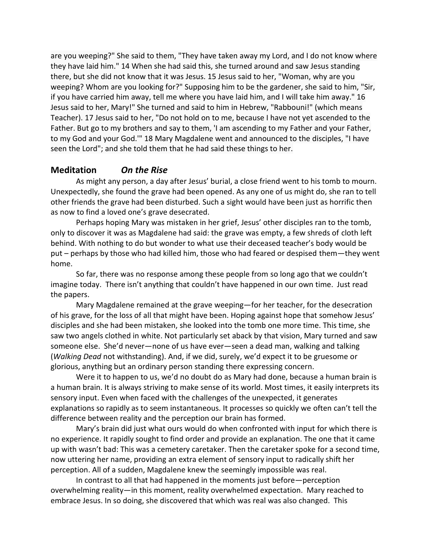are you weeping?" She said to them, "They have taken away my Lord, and I do not know where they have laid him." 14 When she had said this, she turned around and saw Jesus standing there, but she did not know that it was Jesus. 15 Jesus said to her, "Woman, why are you weeping? Whom are you looking for?" Supposing him to be the gardener, she said to him, "Sir, if you have carried him away, tell me where you have laid him, and I will take him away." 16 Jesus said to her, Mary!" She turned and said to him in Hebrew, "Rabbouni!" (which means Teacher). 17 Jesus said to her, "Do not hold on to me, because I have not yet ascended to the Father. But go to my brothers and say to them, 'I am ascending to my Father and your Father, to my God and your God.'" 18 Mary Magdalene went and announced to the disciples, "I have seen the Lord"; and she told them that he had said these things to her.

# **Meditation** *On the Rise*

As might any person, a day after Jesus' burial, a close friend went to his tomb to mourn. Unexpectedly, she found the grave had been opened. As any one of us might do, she ran to tell other friends the grave had been disturbed. Such a sight would have been just as horrific then as now to find a loved one's grave desecrated.

Perhaps hoping Mary was mistaken in her grief, Jesus' other disciples ran to the tomb, only to discover it was as Magdalene had said: the grave was empty, a few shreds of cloth left behind. With nothing to do but wonder to what use their deceased teacher's body would be put – perhaps by those who had killed him, those who had feared or despised them—they went home.

So far, there was no response among these people from so long ago that we couldn't imagine today. There isn't anything that couldn't have happened in our own time. Just read the papers.

Mary Magdalene remained at the grave weeping—for her teacher, for the desecration of his grave, for the loss of all that might have been. Hoping against hope that somehow Jesus' disciples and she had been mistaken, she looked into the tomb one more time. This time, she saw two angels clothed in white. Not particularly set aback by that vision, Mary turned and saw someone else. She'd never—none of us have ever—seen a dead man, walking and talking (*Walking Dead* not withstanding). And, if we did, surely, we'd expect it to be gruesome or glorious, anything but an ordinary person standing there expressing concern.

Were it to happen to us, we'd no doubt do as Mary had done, because a human brain is a human brain. It is always striving to make sense of its world. Most times, it easily interprets its sensory input. Even when faced with the challenges of the unexpected, it generates explanations so rapidly as to seem instantaneous. It processes so quickly we often can't tell the difference between reality and the perception our brain has formed.

Mary's brain did just what ours would do when confronted with input for which there is no experience. It rapidly sought to find order and provide an explanation. The one that it came up with wasn't bad: This was a cemetery caretaker. Then the caretaker spoke for a second time, now uttering her name, providing an extra element of sensory input to radically shift her perception. All of a sudden, Magdalene knew the seemingly impossible was real.

In contrast to all that had happened in the moments just before—perception overwhelming reality—in this moment, reality overwhelmed expectation. Mary reached to embrace Jesus. In so doing, she discovered that which was real was also changed. This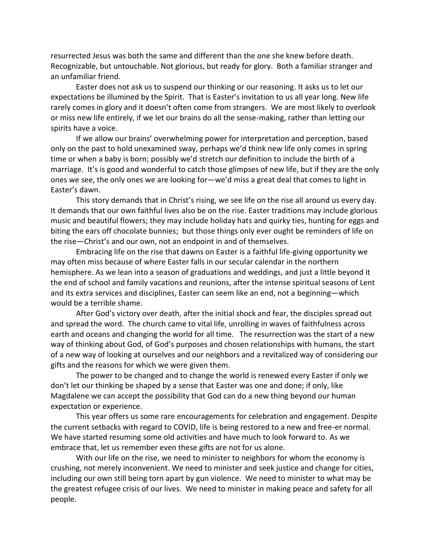resurrected Jesus was both the same and different than the one she knew before death. Recognizable, but untouchable. Not glorious, but ready for glory. Both a familiar stranger and an unfamiliar friend.

 Easter does not ask us to suspend our thinking or our reasoning. It asks us to let our expectations be illumined by the Spirit. That is Easter's invitation to us all year long. New life rarely comes in glory and it doesn't often come from strangers. We are most likely to overlook or miss new life entirely, if we let our brains do all the sense-making, rather than letting our spirits have a voice.

If we allow our brains' overwhelming power for interpretation and perception, based only on the past to hold unexamined sway, perhaps we'd think new life only comes in spring time or when a baby is born; possibly we'd stretch our definition to include the birth of a marriage. It's is good and wonderful to catch those glimpses of new life, but if they are the only ones we see, the only ones we are looking for—we'd miss a great deal that comes to light in Easter's dawn.

This story demands that in Christ's rising, we see life on the rise all around us every day. It demands that our own faithful lives also be on the rise. Easter traditions may include glorious music and beautiful flowers; they may include holiday hats and quirky ties, hunting for eggs and biting the ears off chocolate bunnies; but those things only ever ought be reminders of life on the rise—Christ's and our own, not an endpoint in and of themselves.

Embracing life on the rise that dawns on Easter is a faithful life-giving opportunity we may often miss because of where Easter falls in our secular calendar in the northern hemisphere. As we lean into a season of graduations and weddings, and just a little beyond it the end of school and family vacations and reunions, after the intense spiritual seasons of Lent and its extra services and disciplines, Easter can seem like an end, not a beginning—which would be a terrible shame.

After God's victory over death, after the initial shock and fear, the disciples spread out and spread the word. The church came to vital life, unrolling in waves of faithfulness across earth and oceans and changing the world for all time. The resurrection was the start of a new way of thinking about God, of God's purposes and chosen relationships with humans, the start of a new way of looking at ourselves and our neighbors and a revitalized way of considering our gifts and the reasons for which we were given them.

The power to be changed and to change the world is renewed every Easter if only we don't let our thinking be shaped by a sense that Easter was one and done; if only, like Magdalene we can accept the possibility that God can do a new thing beyond our human expectation or experience.

This year offers us some rare encouragements for celebration and engagement. Despite the current setbacks with regard to COVID, life is being restored to a new and free-er normal. We have started resuming some old activities and have much to look forward to. As we embrace that, let us remember even these gifts are not for us alone.

With our life on the rise, we need to minister to neighbors for whom the economy is crushing, not merely inconvenient. We need to minister and seek justice and change for cities, including our own still being torn apart by gun violence. We need to minister to what may be the greatest refugee crisis of our lives. We need to minister in making peace and safety for all people.